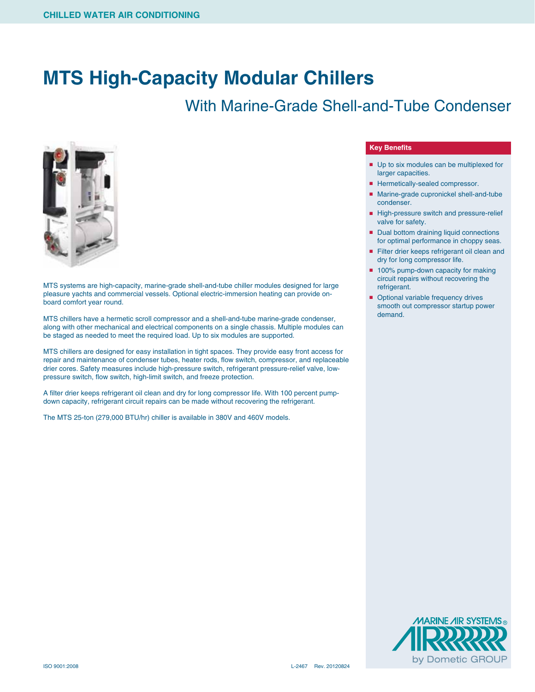## **MTS High-Capacity Modular Chillers**

## With Marine-Grade Shell-and-Tube Condenser



MTS systems are high-capacity, marine-grade shell-and-tube chiller modules designed for large pleasure yachts and commercial vessels. Optional electric-immersion heating can provide onboard comfort year round.

MTS chillers have a hermetic scroll compressor and a shell-and-tube marine-grade condenser, along with other mechanical and electrical components on a single chassis. Multiple modules can be staged as needed to meet the required load. Up to six modules are supported.

MTS chillers are designed for easy installation in tight spaces. They provide easy front access for repair and maintenance of condenser tubes, heater rods, flow switch, compressor, and replaceable drier cores. Safety measures include high-pressure switch, refrigerant pressure-relief valve, lowpressure switch, flow switch, high-limit switch, and freeze protection.

A filter drier keeps refrigerant oil clean and dry for long compressor life. With 100 percent pumpdown capacity, refrigerant circuit repairs can be made without recovering the refrigerant.

The MTS 25-ton (279,000 BTU/hr) chiller is available in 380V and 460V models.

## **Key Benefits**

- Up to six modules can be multiplexed for larger capacities.
- Hermetically-sealed compressor.
- Marine-grade cupronickel shell-and-tube condenser.
- High-pressure switch and pressure-relief valve for safety.
- Dual bottom draining liquid connections for optimal performance in choppy seas.
- Filter drier keeps refrigerant oil clean and dry for long compressor life.
- 100% pump-down capacity for making circuit repairs without recovering the refrigerant.
- Optional variable frequency drives smooth out compressor startup power demand.